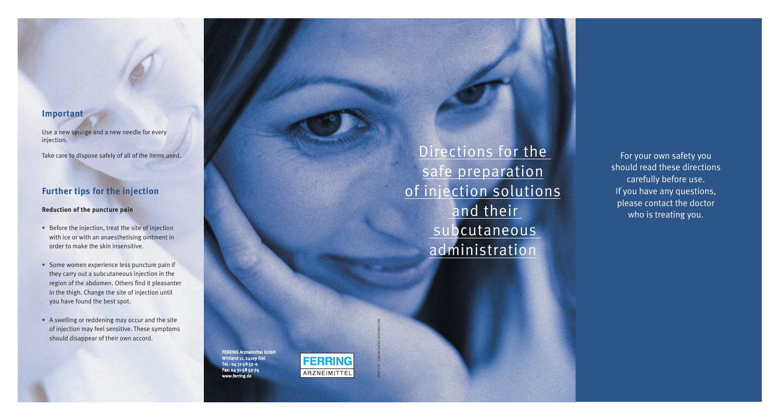# **Important**

Use a new syringe and a new needle for every injection.

Take care to dispose safely of all of the items used.

## **Further tips for the injection**

### **Reduction of the puncture pain**

- Before the injection, treat the site of injection with ice or with an anaesthetising ointment in order to make the skin insensitive.
- Some women experience less puncture pain if they carry out a subcutaneous injection in the region of the abdomen. Others find it pleasanter in the thigh. Change the site of injection until you have found the best spot.
- A swelling or reddening may occur and the site of injection may feel sensitive. These symptoms should disappear of their own accord.

FERRING Arzneimittel GmbH Wittland 11, 24109 Kiel Tel.: 04 31-58 52-0 Fax: 04 31-58 52-74 www.ferring.de



McCANN HEALTHCARE NORDIC · 07113806

Directions for the safe preparation of injection solutions and their subcutaneous administration

For your own safety you should read these directions carefully before use. If you have any questions, please contact the doctor who is treating you.